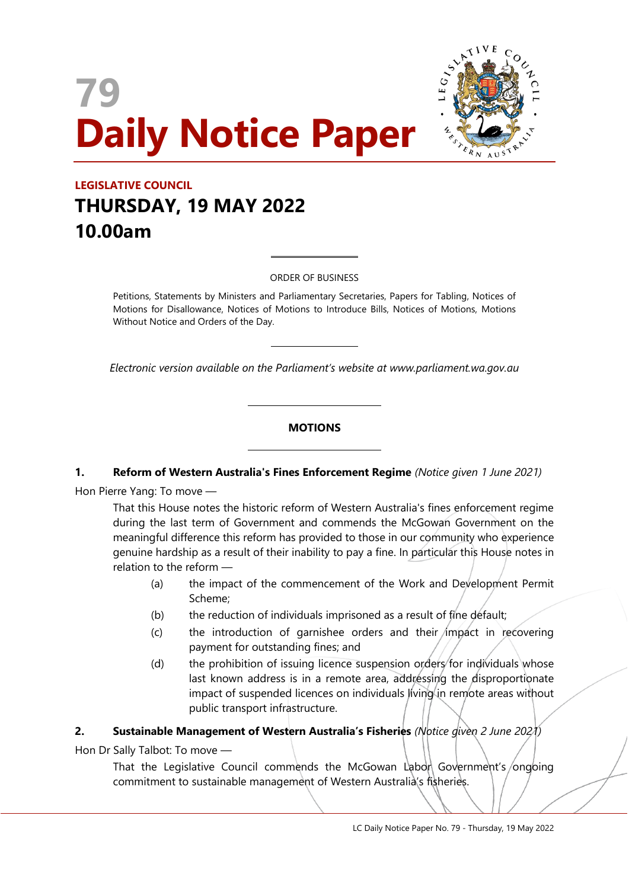# **79 Daily Notice Paper**



# **LEGISLATIVE COUNCIL THURSDAY, 19 MAY 2022 10.00am**

ORDER OF BUSINESS

 $\overline{a}$ 

 $\overline{a}$ 

 $\overline{a}$ 

 $\overline{a}$ 

Petitions, Statements by Ministers and Parliamentary Secretaries, Papers for Tabling, Notices of Motions for Disallowance, Notices of Motions to Introduce Bills, Notices of Motions, Motions Without Notice and Orders of the Day.

*Electronic version available on the Parliament's website at www.parliament.wa.gov.au*

#### **MOTIONS**

#### **1. Reform of Western Australia's Fines Enforcement Regime** *(Notice given 1 June 2021)*

Hon Pierre Yang: To move —

That this House notes the historic reform of Western Australia's fines enforcement regime during the last term of Government and commends the McGowan Government on the meaningful difference this reform has provided to those in our community who experience genuine hardship as a result of their inability to pay a fine. In particular this House notes in relation to the reform —

- (a) the impact of the commencement of the Work and Development Permit Scheme;
- (b) the reduction of individuals imprisoned as a result of fine default;
- (c) the introduction of garnishee orders and their  $\lim_{n \to \infty}$  recovering payment for outstanding fines; and
- (d) the prohibition of issuing licence suspension orders for individuals whose last known address is in a remote area, addressing the disproportionate impact of suspended licences on individuals living in remote areas without public transport infrastructure.

#### **2. Sustainable Management of Western Australia's Fisheries** *(Notice given 2 June 2021)*

Hon Dr Sally Talbot: To move —

That the Legislative Council commends the McGowan Labor Government's/ongoing commitment to sustainable management of Western Australia's fisheries.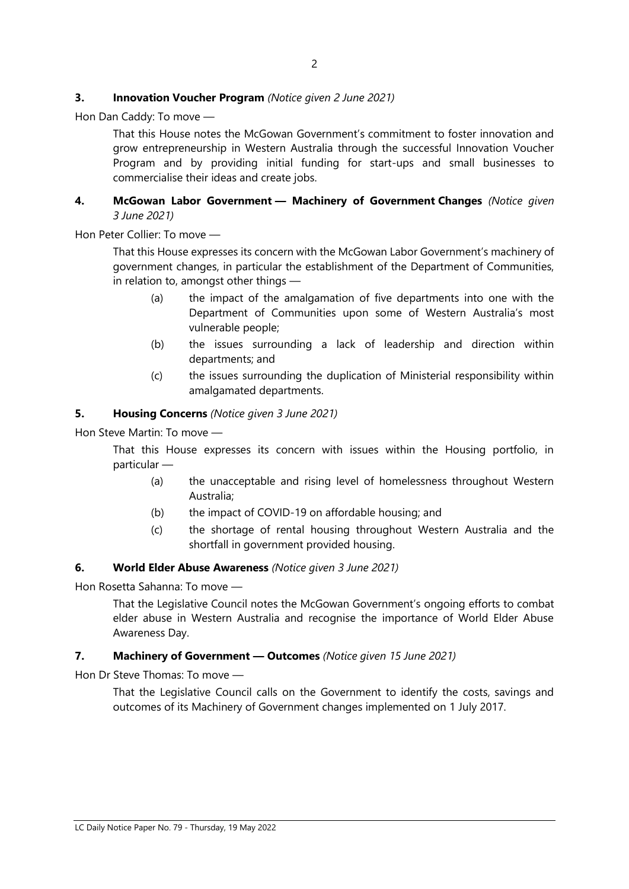#### **3. Innovation Voucher Program** *(Notice given 2 June 2021)*

Hon Dan Caddy: To move —

That this House notes the McGowan Government's commitment to foster innovation and grow entrepreneurship in Western Australia through the successful Innovation Voucher Program and by providing initial funding for start-ups and small businesses to commercialise their ideas and create jobs.

#### **4. McGowan Labor Government — Machinery of Government Changes** *(Notice given 3 June 2021)*

Hon Peter Collier: To move —

That this House expresses its concern with the McGowan Labor Government's machinery of government changes, in particular the establishment of the Department of Communities, in relation to, amongst other things —

- (a) the impact of the amalgamation of five departments into one with the Department of Communities upon some of Western Australia's most vulnerable people;
- (b) the issues surrounding a lack of leadership and direction within departments; and
- (c) the issues surrounding the duplication of Ministerial responsibility within amalgamated departments.

#### **5. Housing Concerns** *(Notice given 3 June 2021)*

Hon Steve Martin: To move —

That this House expresses its concern with issues within the Housing portfolio, in particular —

- (a) the unacceptable and rising level of homelessness throughout Western Australia;
- (b) the impact of COVID-19 on affordable housing; and
- (c) the shortage of rental housing throughout Western Australia and the shortfall in government provided housing.

#### **6. World Elder Abuse Awareness** *(Notice given 3 June 2021)*

Hon Rosetta Sahanna: To move —

That the Legislative Council notes the McGowan Government's ongoing efforts to combat elder abuse in Western Australia and recognise the importance of World Elder Abuse Awareness Day.

#### **7. Machinery of Government — Outcomes** *(Notice given 15 June 2021)*

Hon Dr Steve Thomas: To move —

That the Legislative Council calls on the Government to identify the costs, savings and outcomes of its Machinery of Government changes implemented on 1 July 2017.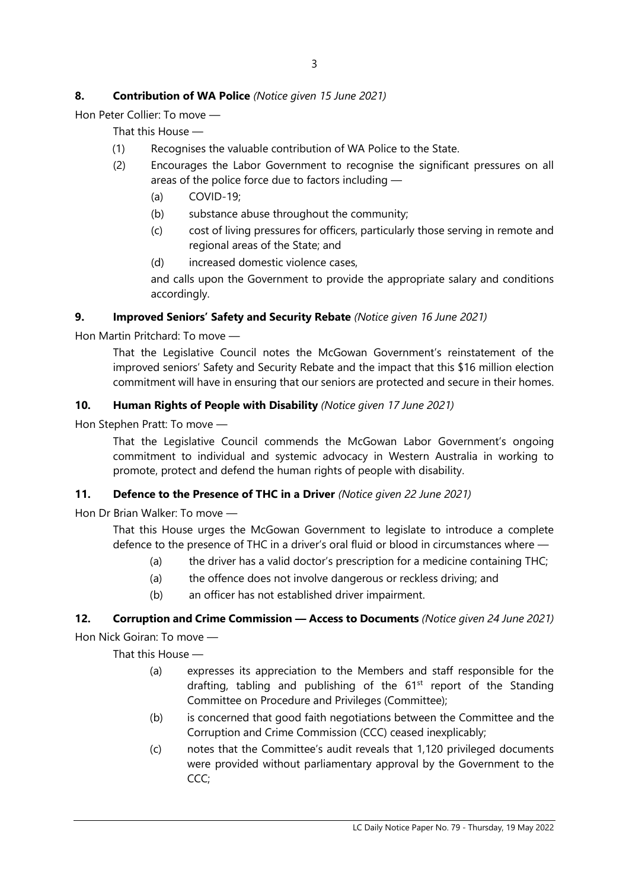# **8. Contribution of WA Police** *(Notice given 15 June 2021)*

Hon Peter Collier: To move —

That this House —

- (1) Recognises the valuable contribution of WA Police to the State.
- (2) Encourages the Labor Government to recognise the significant pressures on all areas of the police force due to factors including —
	- (a) COVID-19;
	- (b) substance abuse throughout the community;
	- (c) cost of living pressures for officers, particularly those serving in remote and regional areas of the State; and
	- (d) increased domestic violence cases,

and calls upon the Government to provide the appropriate salary and conditions accordingly.

### **9. Improved Seniors' Safety and Security Rebate** *(Notice given 16 June 2021)*

Hon Martin Pritchard: To move —

That the Legislative Council notes the McGowan Government's reinstatement of the improved seniors' Safety and Security Rebate and the impact that this \$16 million election commitment will have in ensuring that our seniors are protected and secure in their homes.

### **10. Human Rights of People with Disability** *(Notice given 17 June 2021)*

Hon Stephen Pratt: To move —

That the Legislative Council commends the McGowan Labor Government's ongoing commitment to individual and systemic advocacy in Western Australia in working to promote, protect and defend the human rights of people with disability.

# **11. Defence to the Presence of THC in a Driver** *(Notice given 22 June 2021)*

Hon Dr Brian Walker: To move —

That this House urges the McGowan Government to legislate to introduce a complete defence to the presence of THC in a driver's oral fluid or blood in circumstances where —

- (a) the driver has a valid doctor's prescription for a medicine containing THC;
- (a) the offence does not involve dangerous or reckless driving; and
- (b) an officer has not established driver impairment.

# **12. Corruption and Crime Commission — Access to Documents** *(Notice given 24 June 2021)*

Hon Nick Goiran: To move —

- (a) expresses its appreciation to the Members and staff responsible for the drafting, tabling and publishing of the  $61<sup>st</sup>$  report of the Standing Committee on Procedure and Privileges (Committee);
- (b) is concerned that good faith negotiations between the Committee and the Corruption and Crime Commission (CCC) ceased inexplicably;
- (c) notes that the Committee's audit reveals that 1,120 privileged documents were provided without parliamentary approval by the Government to the CCC;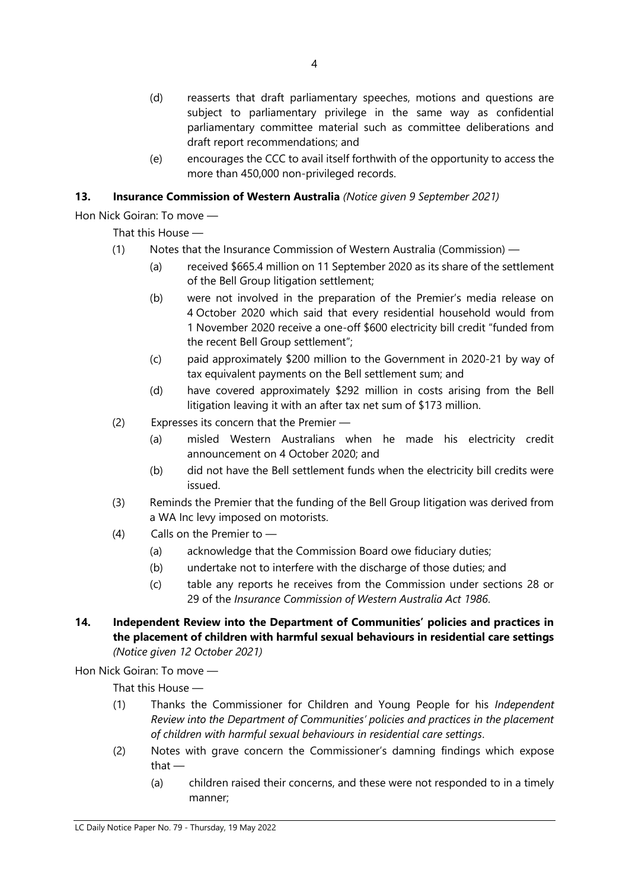- (d) reasserts that draft parliamentary speeches, motions and questions are subject to parliamentary privilege in the same way as confidential parliamentary committee material such as committee deliberations and draft report recommendations; and
- (e) encourages the CCC to avail itself forthwith of the opportunity to access the more than 450,000 non-privileged records.

# **13. Insurance Commission of Western Australia** *(Notice given 9 September 2021)*

Hon Nick Goiran: To move —

That this House —

- (1) Notes that the Insurance Commission of Western Australia (Commission)
	- (a) received \$665.4 million on 11 September 2020 as its share of the settlement of the Bell Group litigation settlement;
	- (b) were not involved in the preparation of the Premier's media release on 4 October 2020 which said that every residential household would from 1 November 2020 receive a one-off \$600 electricity bill credit "funded from the recent Bell Group settlement";
	- (c) paid approximately \$200 million to the Government in 2020-21 by way of tax equivalent payments on the Bell settlement sum; and
	- (d) have covered approximately \$292 million in costs arising from the Bell litigation leaving it with an after tax net sum of \$173 million.
- (2) Expresses its concern that the Premier
	- (a) misled Western Australians when he made his electricity credit announcement on 4 October 2020; and
	- (b) did not have the Bell settlement funds when the electricity bill credits were issued.
- (3) Reminds the Premier that the funding of the Bell Group litigation was derived from a WA Inc levy imposed on motorists.
- (4) Calls on the Premier to
	- (a) acknowledge that the Commission Board owe fiduciary duties;
	- (b) undertake not to interfere with the discharge of those duties; and
	- (c) table any reports he receives from the Commission under sections 28 or 29 of the *Insurance Commission of Western Australia Act 1986*.
- **14. Independent Review into the Department of Communities' policies and practices in the placement of children with harmful sexual behaviours in residential care settings** *(Notice given 12 October 2021)*

Hon Nick Goiran: To move —

- (1) Thanks the Commissioner for Children and Young People for his *Independent Review into the Department of Communities' policies and practices in the placement of children with harmful sexual behaviours in residential care settings*.
- (2) Notes with grave concern the Commissioner's damning findings which expose that —
	- (a) children raised their concerns, and these were not responded to in a timely manner;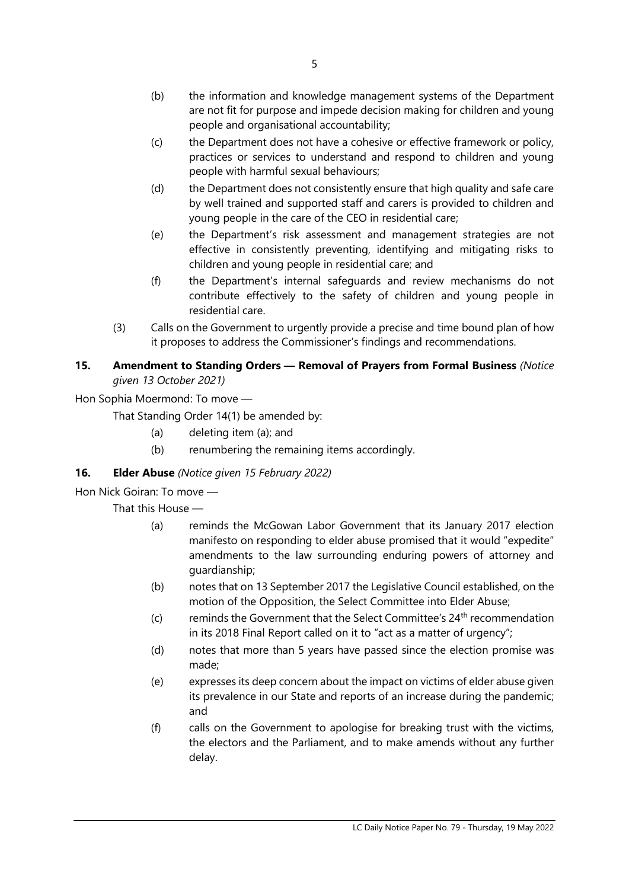- (b) the information and knowledge management systems of the Department are not fit for purpose and impede decision making for children and young people and organisational accountability;
- (c) the Department does not have a cohesive or effective framework or policy, practices or services to understand and respond to children and young people with harmful sexual behaviours;
- (d) the Department does not consistently ensure that high quality and safe care by well trained and supported staff and carers is provided to children and young people in the care of the CEO in residential care;
- (e) the Department's risk assessment and management strategies are not effective in consistently preventing, identifying and mitigating risks to children and young people in residential care; and
- (f) the Department's internal safeguards and review mechanisms do not contribute effectively to the safety of children and young people in residential care.
- (3) Calls on the Government to urgently provide a precise and time bound plan of how it proposes to address the Commissioner's findings and recommendations.

# **15. Amendment to Standing Orders — Removal of Prayers from Formal Business** *(Notice given 13 October 2021)*

Hon Sophia Moermond: To move —

That Standing Order 14(1) be amended by:

- (a) deleting item (a); and
- (b) renumbering the remaining items accordingly.

# **16. Elder Abuse** *(Notice given 15 February 2022)*

Hon Nick Goiran: To move —

- (a) reminds the McGowan Labor Government that its January 2017 election manifesto on responding to elder abuse promised that it would "expedite" amendments to the law surrounding enduring powers of attorney and guardianship;
- (b) notes that on 13 September 2017 the Legislative Council established, on the motion of the Opposition, the Select Committee into Elder Abuse;
- (c) reminds the Government that the Select Committee's  $24<sup>th</sup>$  recommendation in its 2018 Final Report called on it to "act as a matter of urgency";
- (d) notes that more than 5 years have passed since the election promise was made;
- (e) expresses its deep concern about the impact on victims of elder abuse given its prevalence in our State and reports of an increase during the pandemic; and
- (f) calls on the Government to apologise for breaking trust with the victims, the electors and the Parliament, and to make amends without any further delay.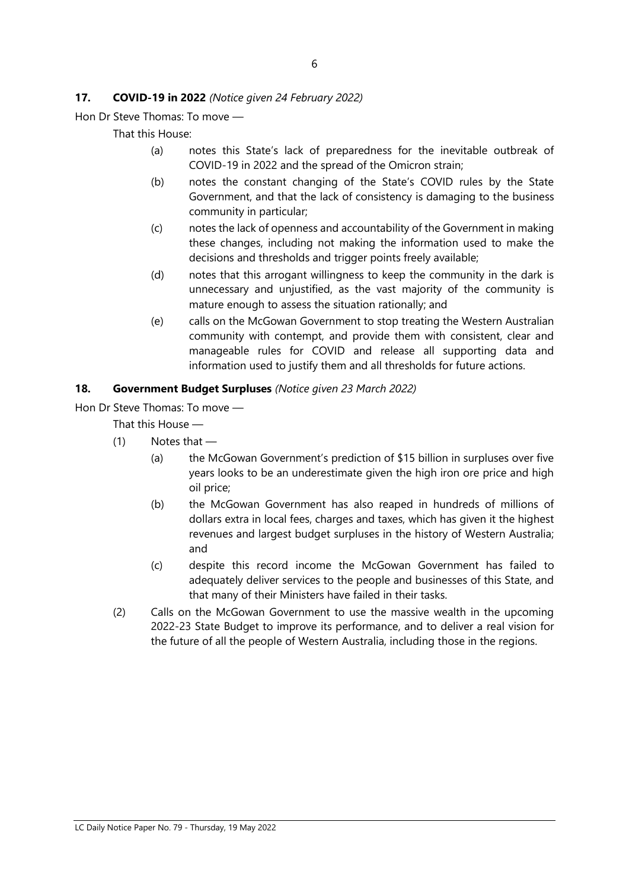#### **17. COVID-19 in 2022** *(Notice given 24 February 2022)*

Hon Dr Steve Thomas: To move —

That this House:

- (a) notes this State's lack of preparedness for the inevitable outbreak of COVID-19 in 2022 and the spread of the Omicron strain;
- (b) notes the constant changing of the State's COVID rules by the State Government, and that the lack of consistency is damaging to the business community in particular;
- (c) notes the lack of openness and accountability of the Government in making these changes, including not making the information used to make the decisions and thresholds and trigger points freely available;
- (d) notes that this arrogant willingness to keep the community in the dark is unnecessary and unjustified, as the vast majority of the community is mature enough to assess the situation rationally; and
- (e) calls on the McGowan Government to stop treating the Western Australian community with contempt, and provide them with consistent, clear and manageable rules for COVID and release all supporting data and information used to justify them and all thresholds for future actions.

#### **18. Government Budget Surpluses** *(Notice given 23 March 2022)*

Hon Dr Steve Thomas: To move —

- (1) Notes that
	- (a) the McGowan Government's prediction of \$15 billion in surpluses over five years looks to be an underestimate given the high iron ore price and high oil price;
	- (b) the McGowan Government has also reaped in hundreds of millions of dollars extra in local fees, charges and taxes, which has given it the highest revenues and largest budget surpluses in the history of Western Australia; and
	- (c) despite this record income the McGowan Government has failed to adequately deliver services to the people and businesses of this State, and that many of their Ministers have failed in their tasks.
- (2) Calls on the McGowan Government to use the massive wealth in the upcoming 2022-23 State Budget to improve its performance, and to deliver a real vision for the future of all the people of Western Australia, including those in the regions.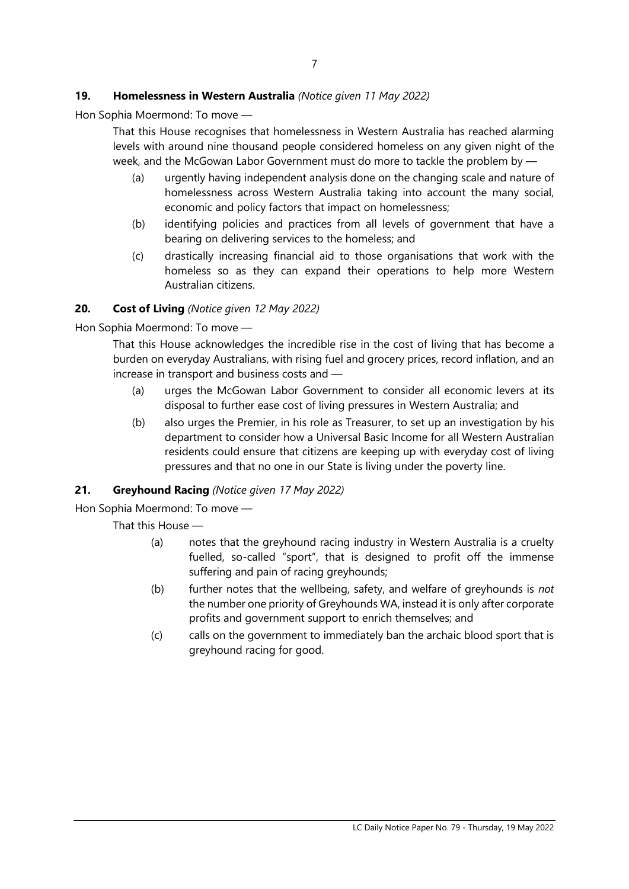# **19. Homelessness in Western Australia** *(Notice given 11 May 2022)*

Hon Sophia Moermond: To move —

That this House recognises that homelessness in Western Australia has reached alarming levels with around nine thousand people considered homeless on any given night of the week, and the McGowan Labor Government must do more to tackle the problem by —

- (a) urgently having independent analysis done on the changing scale and nature of homelessness across Western Australia taking into account the many social, economic and policy factors that impact on homelessness;
- (b) identifying policies and practices from all levels of government that have a bearing on delivering services to the homeless; and
- (c) drastically increasing financial aid to those organisations that work with the homeless so as they can expand their operations to help more Western Australian citizens.

### **20. Cost of Living** *(Notice given 12 May 2022)*

Hon Sophia Moermond: To move —

That this House acknowledges the incredible rise in the cost of living that has become a burden on everyday Australians, with rising fuel and grocery prices, record inflation, and an increase in transport and business costs and —

- (a) urges the McGowan Labor Government to consider all economic levers at its disposal to further ease cost of living pressures in Western Australia; and
- (b) also urges the Premier, in his role as Treasurer, to set up an investigation by his department to consider how a Universal Basic Income for all Western Australian residents could ensure that citizens are keeping up with everyday cost of living pressures and that no one in our State is living under the poverty line.

#### **21. Greyhound Racing** *(Notice given 17 May 2022)*

Hon Sophia Moermond: To move —

- (a) notes that the greyhound racing industry in Western Australia is a cruelty fuelled, so-called "sport", that is designed to profit off the immense suffering and pain of racing greyhounds;
- (b) further notes that the wellbeing, safety, and welfare of greyhounds is *not*  the number one priority of Greyhounds WA, instead it is only after corporate profits and government support to enrich themselves; and
- (c) calls on the government to immediately ban the archaic blood sport that is greyhound racing for good.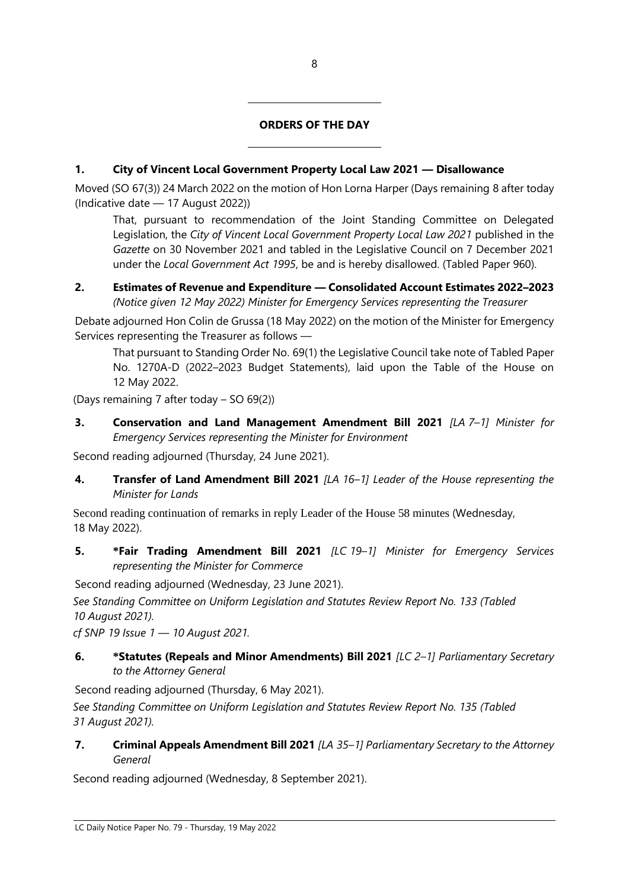# **ORDERS OF THE DAY**

# **1. City of Vincent Local Government Property Local Law 2021 — Disallowance**

 $\overline{a}$ 

 $\overline{a}$ 

Moved (SO 67(3)) 24 March 2022 on the motion of Hon Lorna Harper (Days remaining 8 after today (Indicative date — 17 August 2022))

That, pursuant to recommendation of the Joint Standing Committee on Delegated Legislation, the *City of Vincent Local Government Property Local Law 2021* published in the *Gazette* on 30 November 2021 and tabled in the Legislative Council on 7 December 2021 under the *Local Government Act 1995*, be and is hereby disallowed. (Tabled Paper 960).

#### **2. Estimates of Revenue and Expenditure — Consolidated Account Estimates 2022–2023** *(Notice given 12 May 2022) Minister for Emergency Services representing the Treasurer*

Debate adjourned Hon Colin de Grussa (18 May 2022) on the motion of the Minister for Emergency Services representing the Treasurer as follows —

That pursuant to Standing Order No. 69(1) the Legislative Council take note of Tabled Paper No. 1270A-D (2022–2023 Budget Statements), laid upon the Table of the House on 12 May 2022.

(Days remaining 7 after today – SO 69(2))

**3. Conservation and Land Management Amendment Bill 2021** *[LA 7–1] Minister for Emergency Services representing the Minister for Environment*

Second reading adjourned (Thursday, 24 June 2021).

**4. Transfer of Land Amendment Bill 2021** *[LA 16–1] Leader of the House representing the Minister for Lands*

Second reading continuation of remarks in reply Leader of the House 58 minutes (Wednesday, 18 May 2022).

**5. \*Fair Trading Amendment Bill 2021** *[LC 19–1] Minister for Emergency Services representing the Minister for Commerce*

Second reading adjourned (Wednesday, 23 June 2021).

*See Standing Committee on Uniform Legislation and Statutes Review Report No. 133 (Tabled 10 August 2021).*

*cf SNP 19 Issue 1 — 10 August 2021.*

**6. \*Statutes (Repeals and Minor Amendments) Bill 2021** *[LC 2–1] Parliamentary Secretary to the Attorney General*

Second reading adjourned (Thursday, 6 May 2021).

*See Standing Committee on Uniform Legislation and Statutes Review Report No. 135 (Tabled 31 August 2021).*

**7. Criminal Appeals Amendment Bill 2021** *[LA 35–1] Parliamentary Secretary to the Attorney General*

Second reading adjourned (Wednesday, 8 September 2021).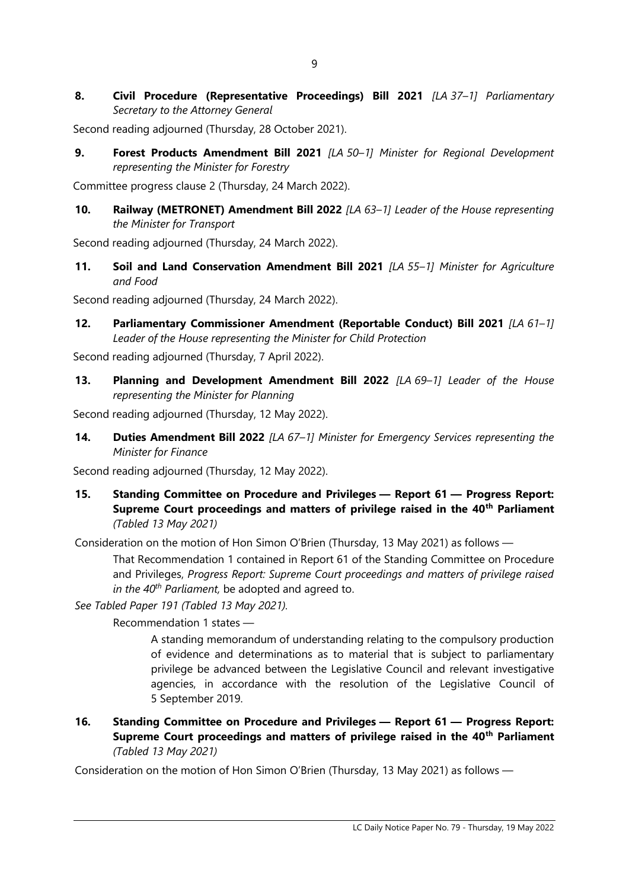**8. Civil Procedure (Representative Proceedings) Bill 2021** *[LA 37–1] Parliamentary Secretary to the Attorney General*

Second reading adjourned (Thursday, 28 October 2021).

**9. Forest Products Amendment Bill 2021** *[LA 50–1] Minister for Regional Development representing the Minister for Forestry*

Committee progress clause 2 (Thursday, 24 March 2022).

**10. Railway (METRONET) Amendment Bill 2022** *[LA 63–1] Leader of the House representing the Minister for Transport*

Second reading adjourned (Thursday, 24 March 2022).

**11. Soil and Land Conservation Amendment Bill 2021** *[LA 55–1] Minister for Agriculture and Food*

Second reading adjourned (Thursday, 24 March 2022).

**12. Parliamentary Commissioner Amendment (Reportable Conduct) Bill 2021** *[LA 61–1] Leader of the House representing the Minister for Child Protection*

Second reading adjourned (Thursday, 7 April 2022).

**13. Planning and Development Amendment Bill 2022** *[LA 69–1] Leader of the House representing the Minister for Planning*

Second reading adjourned (Thursday, 12 May 2022).

**14. Duties Amendment Bill 2022** *[LA 67–1] Minister for Emergency Services representing the Minister for Finance*

Second reading adjourned (Thursday, 12 May 2022).

**15. Standing Committee on Procedure and Privileges — Report 61 — Progress Report: Supreme Court proceedings and matters of privilege raised in the 40th Parliament** *(Tabled 13 May 2021)*

Consideration on the motion of Hon Simon O'Brien (Thursday, 13 May 2021) as follows —

That Recommendation 1 contained in Report 61 of the Standing Committee on Procedure and Privileges, *Progress Report: Supreme Court proceedings and matters of privilege raised in the 40th Parliament,* be adopted and agreed to.

*See Tabled Paper 191 (Tabled 13 May 2021).*

Recommendation 1 states —

A standing memorandum of understanding relating to the compulsory production of evidence and determinations as to material that is subject to parliamentary privilege be advanced between the Legislative Council and relevant investigative agencies, in accordance with the resolution of the Legislative Council of 5 September 2019.

**16. Standing Committee on Procedure and Privileges — Report 61 — Progress Report: Supreme Court proceedings and matters of privilege raised in the 40th Parliament** *(Tabled 13 May 2021)*

Consideration on the motion of Hon Simon O'Brien (Thursday, 13 May 2021) as follows —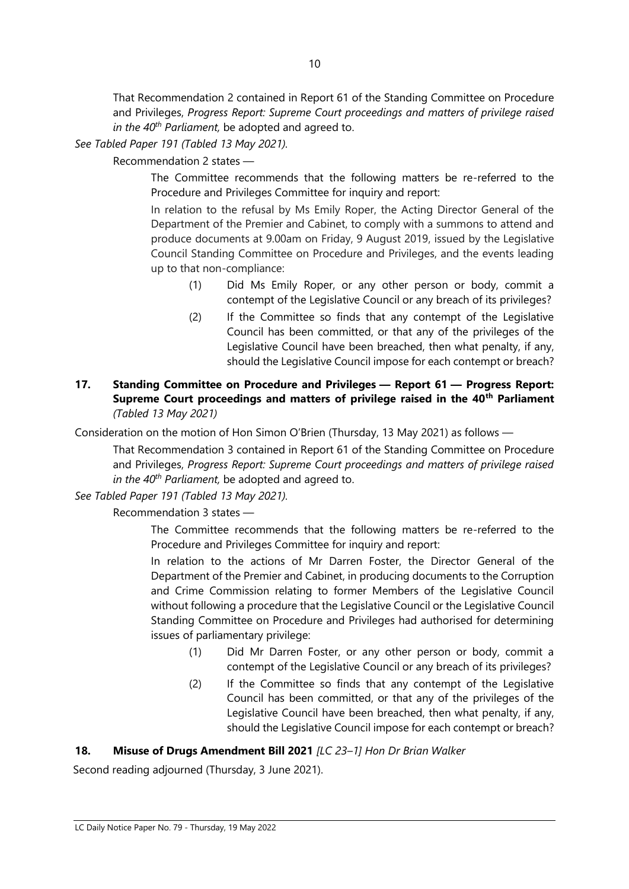That Recommendation 2 contained in Report 61 of the Standing Committee on Procedure and Privileges, *Progress Report: Supreme Court proceedings and matters of privilege raised in the 40th Parliament,* be adopted and agreed to.

*See Tabled Paper 191 (Tabled 13 May 2021).*

Recommendation 2 states —

The Committee recommends that the following matters be re-referred to the Procedure and Privileges Committee for inquiry and report:

In relation to the refusal by Ms Emily Roper, the Acting Director General of the Department of the Premier and Cabinet, to comply with a summons to attend and produce documents at 9.00am on Friday, 9 August 2019, issued by the Legislative Council Standing Committee on Procedure and Privileges, and the events leading up to that non-compliance:

- (1) Did Ms Emily Roper, or any other person or body, commit a contempt of the Legislative Council or any breach of its privileges?
- (2) If the Committee so finds that any contempt of the Legislative Council has been committed, or that any of the privileges of the Legislative Council have been breached, then what penalty, if any, should the Legislative Council impose for each contempt or breach?
- **17. Standing Committee on Procedure and Privileges — Report 61 — Progress Report: Supreme Court proceedings and matters of privilege raised in the 40th Parliament** *(Tabled 13 May 2021)*

Consideration on the motion of Hon Simon O'Brien (Thursday, 13 May 2021) as follows —

That Recommendation 3 contained in Report 61 of the Standing Committee on Procedure and Privileges, *Progress Report: Supreme Court proceedings and matters of privilege raised in the 40th Parliament,* be adopted and agreed to.

*See Tabled Paper 191 (Tabled 13 May 2021).*

Recommendation 3 states —

The Committee recommends that the following matters be re-referred to the Procedure and Privileges Committee for inquiry and report:

In relation to the actions of Mr Darren Foster, the Director General of the Department of the Premier and Cabinet, in producing documents to the Corruption and Crime Commission relating to former Members of the Legislative Council without following a procedure that the Legislative Council or the Legislative Council Standing Committee on Procedure and Privileges had authorised for determining issues of parliamentary privilege:

- (1) Did Mr Darren Foster, or any other person or body, commit a contempt of the Legislative Council or any breach of its privileges?
- (2) If the Committee so finds that any contempt of the Legislative Council has been committed, or that any of the privileges of the Legislative Council have been breached, then what penalty, if any, should the Legislative Council impose for each contempt or breach?

# **18. Misuse of Drugs Amendment Bill 2021** *[LC 23–1] Hon Dr Brian Walker*

Second reading adjourned (Thursday, 3 June 2021).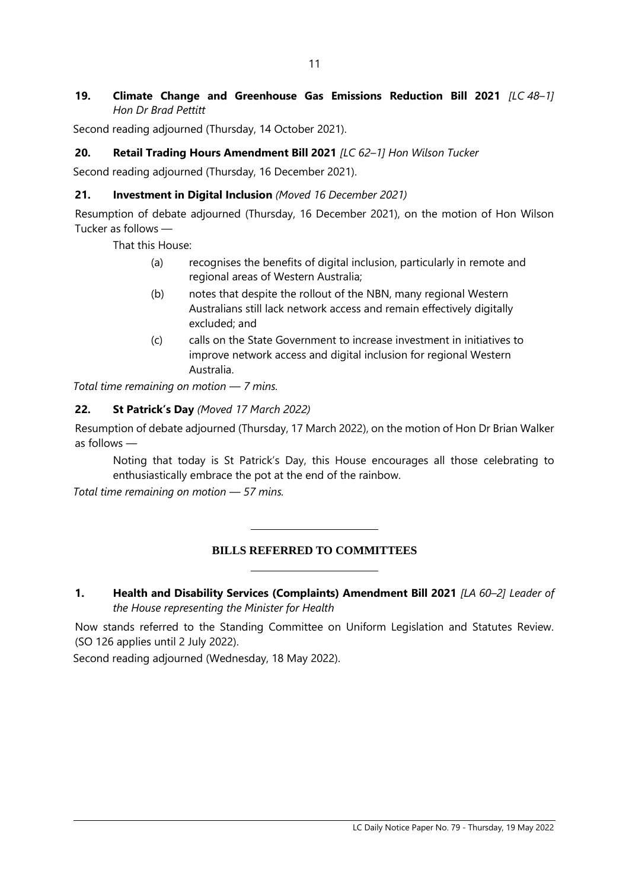# **19. Climate Change and Greenhouse Gas Emissions Reduction Bill 2021** *[LC 48–1] Hon Dr Brad Pettitt*

Second reading adjourned (Thursday, 14 October 2021).

# **20. Retail Trading Hours Amendment Bill 2021** *[LC 62–1] Hon Wilson Tucker*

Second reading adjourned (Thursday, 16 December 2021).

### **21. Investment in Digital Inclusion** *(Moved 16 December 2021)*

Resumption of debate adjourned (Thursday, 16 December 2021), on the motion of Hon Wilson Tucker as follows —

That this House:

- (a) recognises the benefits of digital inclusion, particularly in remote and regional areas of Western Australia;
- (b) notes that despite the rollout of the NBN, many regional Western Australians still lack network access and remain effectively digitally excluded; and
- (c) calls on the State Government to increase investment in initiatives to improve network access and digital inclusion for regional Western Australia.

*Total time remaining on motion — 7 mins.*

## **22. St Patrick's Day** *(Moved 17 March 2022)*

Resumption of debate adjourned (Thursday, 17 March 2022), on the motion of Hon Dr Brian Walker as follows —

Noting that today is St Patrick's Day, this House encourages all those celebrating to enthusiastically embrace the pot at the end of the rainbow.

*Total time remaining on motion — 57 mins.*

# **BILLS REFERRED TO COMMITTEES**

 $\overline{a}$ 

 $\overline{a}$ 

**1. Health and Disability Services (Complaints) Amendment Bill 2021** *[LA 60–2] Leader of the House representing the Minister for Health* 

Now stands referred to the Standing Committee on Uniform Legislation and Statutes Review. (SO 126 applies until 2 July 2022).

Second reading adjourned (Wednesday, 18 May 2022).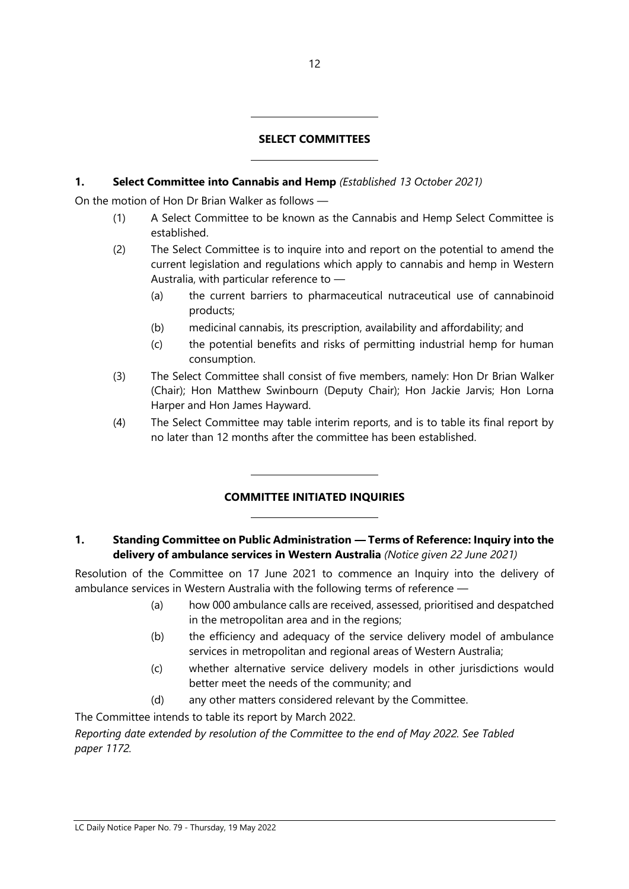# **SELECT COMMITTEES**

# **1. Select Committee into Cannabis and Hemp** *(Established 13 October 2021)*

 $\overline{a}$ 

 $\overline{a}$ 

 $\overline{a}$ 

 $\overline{a}$ 

On the motion of Hon Dr Brian Walker as follows —

- (1) A Select Committee to be known as the Cannabis and Hemp Select Committee is established.
- (2) The Select Committee is to inquire into and report on the potential to amend the current legislation and regulations which apply to cannabis and hemp in Western Australia, with particular reference to —
	- (a) the current barriers to pharmaceutical nutraceutical use of cannabinoid products;
	- (b) medicinal cannabis, its prescription, availability and affordability; and
	- (c) the potential benefits and risks of permitting industrial hemp for human consumption.
- (3) The Select Committee shall consist of five members, namely: Hon Dr Brian Walker (Chair); Hon Matthew Swinbourn (Deputy Chair); Hon Jackie Jarvis; Hon Lorna Harper and Hon James Hayward.
- (4) The Select Committee may table interim reports, and is to table its final report by no later than 12 months after the committee has been established.

# **COMMITTEE INITIATED INQUIRIES**

#### **1. Standing Committee on Public Administration — Terms of Reference: Inquiry into the delivery of ambulance services in Western Australia** *(Notice given 22 June 2021)*

Resolution of the Committee on 17 June 2021 to commence an Inquiry into the delivery of ambulance services in Western Australia with the following terms of reference —

- (a) how 000 ambulance calls are received, assessed, prioritised and despatched in the metropolitan area and in the regions;
- (b) the efficiency and adequacy of the service delivery model of ambulance services in metropolitan and regional areas of Western Australia;
- (c) whether alternative service delivery models in other jurisdictions would better meet the needs of the community; and
- (d) any other matters considered relevant by the Committee.

The Committee intends to table its report by March 2022.

*Reporting date extended by resolution of the Committee to the end of May 2022. See Tabled paper 1172.*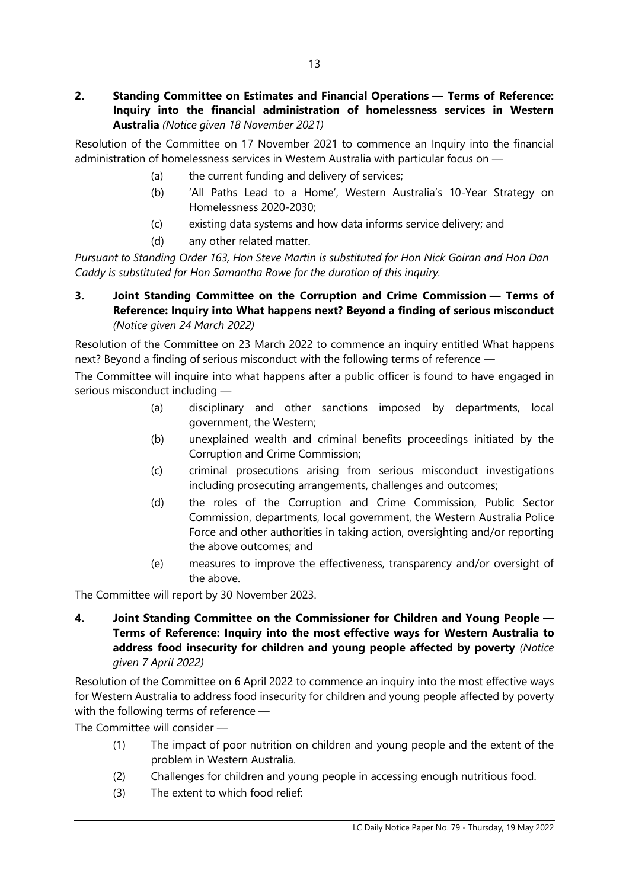Resolution of the Committee on 17 November 2021 to commence an Inquiry into the financial administration of homelessness services in Western Australia with particular focus on —

- (a) the current funding and delivery of services;
- (b) 'All Paths Lead to a Home', Western Australia's 10-Year Strategy on Homelessness 2020-2030;
- (c) existing data systems and how data informs service delivery; and
- (d) any other related matter.

*Pursuant to Standing Order 163, Hon Steve Martin is substituted for Hon Nick Goiran and Hon Dan Caddy is substituted for Hon Samantha Rowe for the duration of this inquiry.*

# **3. Joint Standing Committee on the Corruption and Crime Commission — Terms of Reference: Inquiry into What happens next? Beyond a finding of serious misconduct** *(Notice given 24 March 2022)*

Resolution of the Committee on 23 March 2022 to commence an inquiry entitled What happens next? Beyond a finding of serious misconduct with the following terms of reference —

The Committee will inquire into what happens after a public officer is found to have engaged in serious misconduct including —

- (a) disciplinary and other sanctions imposed by departments, local government, the Western;
- (b) unexplained wealth and criminal benefits proceedings initiated by the Corruption and Crime Commission;
- (c) criminal prosecutions arising from serious misconduct investigations including prosecuting arrangements, challenges and outcomes;
- (d) the roles of the Corruption and Crime Commission, Public Sector Commission, departments, local government, the Western Australia Police Force and other authorities in taking action, oversighting and/or reporting the above outcomes; and
- (e) measures to improve the effectiveness, transparency and/or oversight of the above.

The Committee will report by 30 November 2023.

**4. Joint Standing Committee on the Commissioner for Children and Young People — Terms of Reference: Inquiry into the most effective ways for Western Australia to address food insecurity for children and young people affected by poverty** *(Notice given 7 April 2022)*

Resolution of the Committee on 6 April 2022 to commence an inquiry into the most effective ways for Western Australia to address food insecurity for children and young people affected by poverty with the following terms of reference —

The Committee will consider —

- (1) The impact of poor nutrition on children and young people and the extent of the problem in Western Australia.
- (2) Challenges for children and young people in accessing enough nutritious food.
- (3) The extent to which food relief: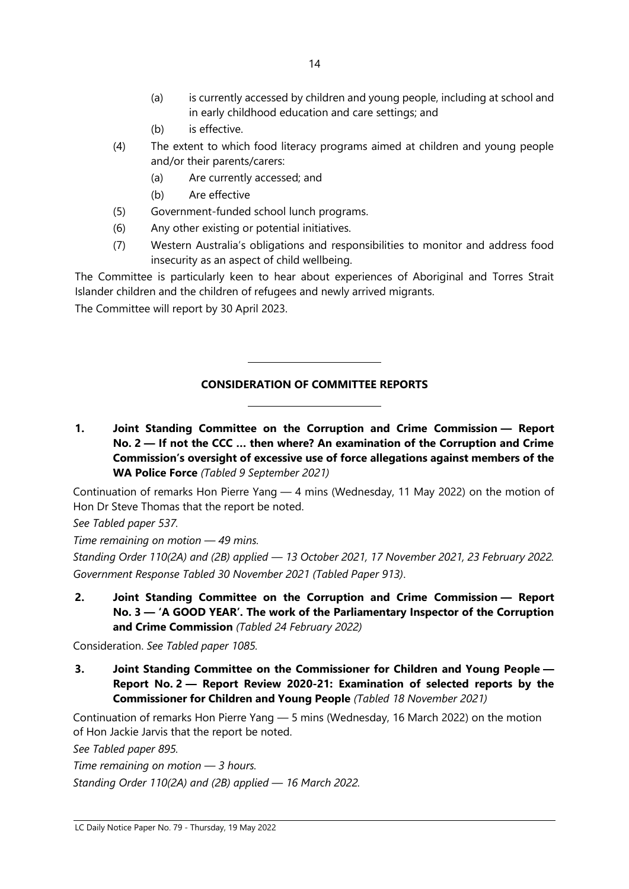- (a) is currently accessed by children and young people, including at school and in early childhood education and care settings; and
- (b) is effective.
- (4) The extent to which food literacy programs aimed at children and young people and/or their parents/carers:
	- (a) Are currently accessed; and
	- (b) Are effective
- (5) Government-funded school lunch programs.

 $\overline{a}$ 

 $\overline{a}$ 

- (6) Any other existing or potential initiatives.
- (7) Western Australia's obligations and responsibilities to monitor and address food insecurity as an aspect of child wellbeing.

The Committee is particularly keen to hear about experiences of Aboriginal and Torres Strait Islander children and the children of refugees and newly arrived migrants.

The Committee will report by 30 April 2023.

# **CONSIDERATION OF COMMITTEE REPORTS**

**1. Joint Standing Committee on the Corruption and Crime Commission — Report No. 2 — If not the CCC … then where? An examination of the Corruption and Crime Commission's oversight of excessive use of force allegations against members of the WA Police Force** *(Tabled 9 September 2021)*

Continuation of remarks Hon Pierre Yang — 4 mins (Wednesday, 11 May 2022) on the motion of Hon Dr Steve Thomas that the report be noted.

*See Tabled paper 537.*

*Time remaining on motion — 49 mins.*

*Standing Order 110(2A) and (2B) applied — 13 October 2021, 17 November 2021, 23 February 2022. Government Response Tabled 30 November 2021 (Tabled Paper 913)*.

**2. Joint Standing Committee on the Corruption and Crime Commission — Report No. 3 — 'A GOOD YEAR'. The work of the Parliamentary Inspector of the Corruption and Crime Commission** *(Tabled 24 February 2022)*

Consideration. *See Tabled paper 1085.*

**3. Joint Standing Committee on the Commissioner for Children and Young People — Report No. 2 — Report Review 2020-21: Examination of selected reports by the Commissioner for Children and Young People** *(Tabled 18 November 2021)*

Continuation of remarks Hon Pierre Yang — 5 mins (Wednesday, 16 March 2022) on the motion of Hon Jackie Jarvis that the report be noted.

*See Tabled paper 895.*

*Time remaining on motion — 3 hours. Standing Order 110(2A) and (2B) applied — 16 March 2022.*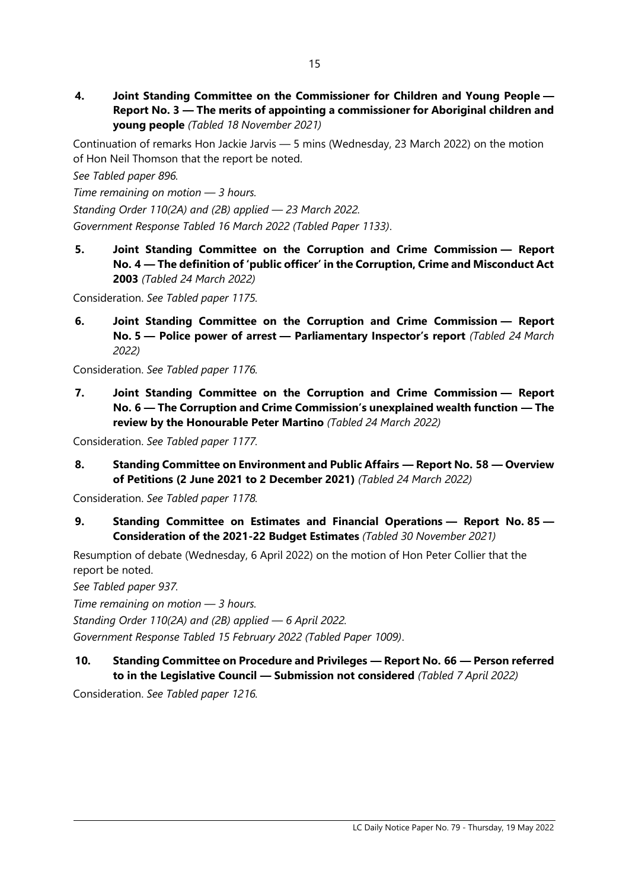**4. Joint Standing Committee on the Commissioner for Children and Young People — Report No. 3 — The merits of appointing a commissioner for Aboriginal children and young people** *(Tabled 18 November 2021)*

Continuation of remarks Hon Jackie Jarvis — 5 mins (Wednesday, 23 March 2022) on the motion of Hon Neil Thomson that the report be noted.

*See Tabled paper 896.*

*Time remaining on motion — 3 hours.*

*Standing Order 110(2A) and (2B) applied — 23 March 2022. Government Response Tabled 16 March 2022 (Tabled Paper 1133)*.

**5. Joint Standing Committee on the Corruption and Crime Commission — Report No. 4 — The definition of 'public officer' in the Corruption, Crime and Misconduct Act 2003** *(Tabled 24 March 2022)*

Consideration. *See Tabled paper 1175.*

**6. Joint Standing Committee on the Corruption and Crime Commission — Report No. 5 — Police power of arrest — Parliamentary Inspector's report** *(Tabled 24 March 2022)*

Consideration. *See Tabled paper 1176.*

**7. Joint Standing Committee on the Corruption and Crime Commission — Report No. 6 — The Corruption and Crime Commission's unexplained wealth function — The review by the Honourable Peter Martino** *(Tabled 24 March 2022)*

Consideration. *See Tabled paper 1177.*

**8. Standing Committee on Environment and Public Affairs — Report No. 58 — Overview of Petitions (2 June 2021 to 2 December 2021)** *(Tabled 24 March 2022)*

Consideration. *See Tabled paper 1178.*

**9. Standing Committee on Estimates and Financial Operations — Report No. 85 — Consideration of the 2021-22 Budget Estimates** *(Tabled 30 November 2021)*

Resumption of debate (Wednesday, 6 April 2022) on the motion of Hon Peter Collier that the report be noted.

*See Tabled paper 937.*

*Time remaining on motion — 3 hours.*

*Standing Order 110(2A) and (2B) applied — 6 April 2022.*

*Government Response Tabled 15 February 2022 (Tabled Paper 1009)*.

# **10. Standing Committee on Procedure and Privileges — Report No. 66 — Person referred to in the Legislative Council — Submission not considered** *(Tabled 7 April 2022)*

Consideration. *See Tabled paper 1216.*